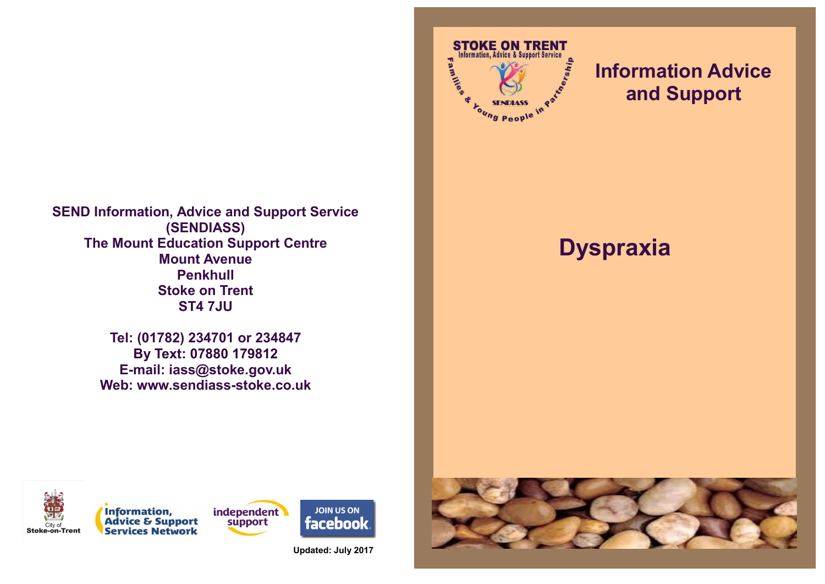**SEND Information, Advice and Support Service (SENDIASS) The Mount Education Support Centre Mount Avenue Penkhull Stoke on Trent ST4 7JU**

> **Tel: (01782) 234701 or 234847 By Text: 07880 179812 E-mail: iass@stoke.gov.uk Web: www.sendiass-stoke.co.uk**



# **Information Advice and Support**

# **Dyspraxia**





**Updated: July 2017**

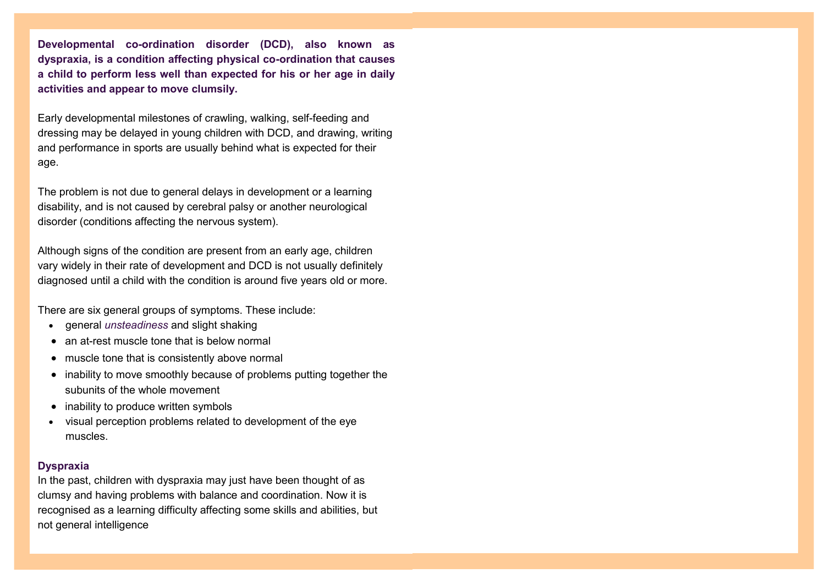**Developmental co-ordination disorder (DCD), also known as dyspraxia, is a condition affecting physical co-ordination that causes a child to perform less well than expected for his or her age in daily activities and appear to move clumsily.**

Early developmental milestones of crawling, walking, self-feeding and dressing may be delayed in young children with DCD, and drawing, writing and performance in sports are usually behind what is expected for their age.

The problem is not due to general delays in development or a learning disability, and is not caused by cerebral palsy or another neurological disorder (conditions affecting the nervous system).

Although signs of the condition are present from an early age, children vary widely in their rate of development and DCD is not usually definitely diagnosed until a child with the condition is around five years old or more.

There are six general groups of symptoms. These include:

- general *[unsteadiness](http://www.minddisorders.com/knowledge/Vertigo.html)* and slight shaking
- an at-rest muscle tone that is below normal
- muscle tone that is consistently above normal
- inability to move smoothly because of problems putting together the subunits of the whole movement
- $\bullet$  inability to produce written symbols
- visual perception problems related to development of the eye muscles.

### **Dyspraxia**

In the past, [children w](http://www.webmd.boots.com/children/default.htm)ith [dyspraxia](http://www.webmd.boots.com/children/guide/dyspraxia) may just have been thought of as clumsy and having problems with balance and coordination. Now it is recognised as a learning difficulty affecting some skills and abilities, but not general intelligence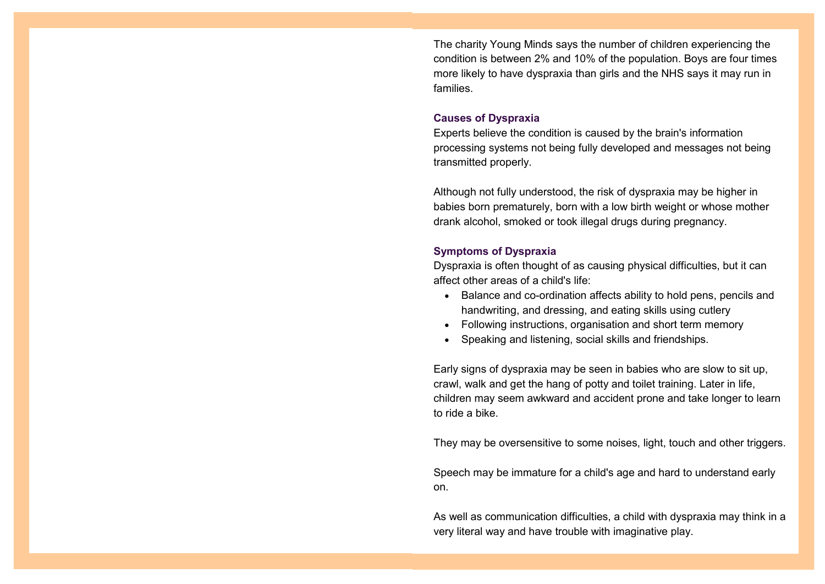The charity Young Minds says the number of [children e](http://www.webmd.boots.com/children/ss/slideshow-essential-nutrients)xperiencing the condition is between 2% and 10% of the population. Boys are four times more likely to have dyspraxia than girls and [the NHS](http://www.webmd.boots.com/nhs/default.htm) says it may run in families.

#### **Causes of Dyspraxia**

Experts believe the condition is caused by the brain's information processing systems not being fully developed and messages not being transmitted properly.

Although not fully understood, the risk of dyspraxia may be higher in babies born prematurely, born with a [low birth weight o](http://www.webmd.boots.com/children/baby/guide/low-birth-weight)r whose mother drank alcohol, smoked or took illegal drugs during [pregnancy.](http://www.webmd.boots.com/pregnancy/features/am-i-pregnant)

### **Symptoms of Dyspraxia**

Dyspraxia is often thought of as causing physical difficulties, but it can affect other areas of a child's life:

- Balance and co-ordination affects ability to hold pens, pencils and handwriting, and dressing, and eating skills using cutlery
- Following instructions, organisation and short term memory
- Speaking and listening, social skills and friendships.

Early signs of dyspraxia may be seen in babies who are slow to sit up, crawl, walk and get the hang of potty and toilet training. Later in life, children may seem awkward and accident prone and take longer to learn to ride a bike.

They may be oversensitive to some noises, light, touch and other triggers.

Speech may be immature for a child's age and hard to understand early on.

As well as communication difficulties, a child with dyspraxia may think in a very literal way and have trouble with imaginative play.